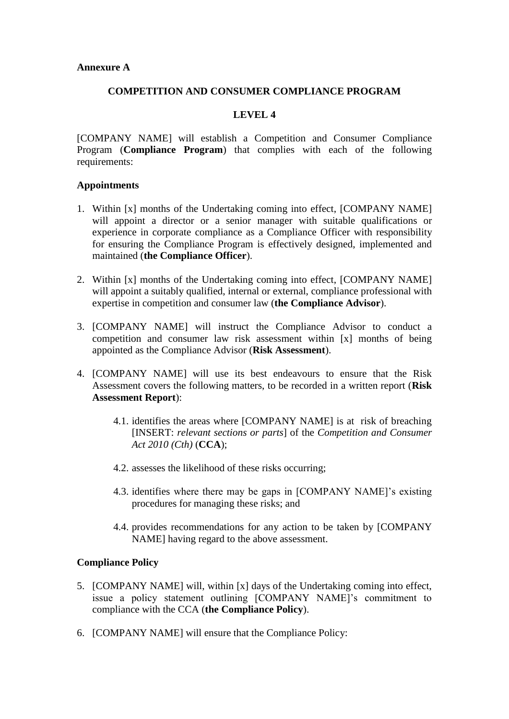## **Annexure A**

## **COMPETITION AND CONSUMER COMPLIANCE PROGRAM**

# **LEVEL 4**

[COMPANY NAME] will establish a Competition and Consumer Compliance Program (**Compliance Program**) that complies with each of the following requirements:

## **Appointments**

- 1. Within [x] months of the Undertaking coming into effect, [COMPANY NAME] will appoint a director or a senior manager with suitable qualifications or experience in corporate compliance as a Compliance Officer with responsibility for ensuring the Compliance Program is effectively designed, implemented and maintained (**the Compliance Officer**).
- 2. Within [x] months of the Undertaking coming into effect, [COMPANY NAME] will appoint a suitably qualified, internal or external, compliance professional with expertise in competition and consumer law (**the Compliance Advisor**).
- 3. [COMPANY NAME] will instruct the Compliance Advisor to conduct a competition and consumer law risk assessment within [x] months of being appointed as the Compliance Advisor (**Risk Assessment**).
- 4. [COMPANY NAME] will use its best endeavours to ensure that the Risk Assessment covers the following matters, to be recorded in a written report (**Risk Assessment Report**):
	- 4.1. identifies the areas where [COMPANY NAME] is at risk of breaching [INSERT: *relevant sections or parts*] of the *Competition and Consumer Act 2010 (Cth)* (**CCA**);
	- 4.2. assesses the likelihood of these risks occurring;
	- 4.3. identifies where there may be gaps in [COMPANY NAME]'s existing procedures for managing these risks; and
	- 4.4. provides recommendations for any action to be taken by [COMPANY NAME] having regard to the above assessment.

### **Compliance Policy**

- 5. [COMPANY NAME] will, within [x] days of the Undertaking coming into effect, issue a policy statement outlining [COMPANY NAME]'s commitment to compliance with the CCA (**the Compliance Policy**).
- 6. [COMPANY NAME] will ensure that the Compliance Policy: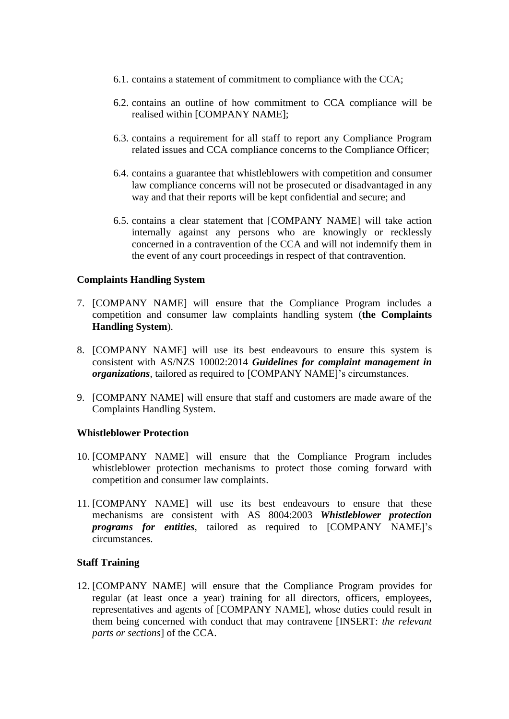- 6.1. contains a statement of commitment to compliance with the CCA;
- 6.2. contains an outline of how commitment to CCA compliance will be realised within [COMPANY NAME];
- 6.3. contains a requirement for all staff to report any Compliance Program related issues and CCA compliance concerns to the Compliance Officer;
- 6.4. contains a guarantee that whistleblowers with competition and consumer law compliance concerns will not be prosecuted or disadvantaged in any way and that their reports will be kept confidential and secure; and
- 6.5. contains a clear statement that [COMPANY NAME] will take action internally against any persons who are knowingly or recklessly concerned in a contravention of the CCA and will not indemnify them in the event of any court proceedings in respect of that contravention.

# **Complaints Handling System**

- 7. [COMPANY NAME] will ensure that the Compliance Program includes a competition and consumer law complaints handling system (**the Complaints Handling System**).
- 8. [COMPANY NAME] will use its best endeavours to ensure this system is consistent with AS/NZS 10002:2014 *Guidelines for complaint management in organizations*, tailored as required to [COMPANY NAME]'s circumstances.
- 9. [COMPANY NAME] will ensure that staff and customers are made aware of the Complaints Handling System.

# **Whistleblower Protection**

- 10. [COMPANY NAME] will ensure that the Compliance Program includes whistleblower protection mechanisms to protect those coming forward with competition and consumer law complaints.
- 11. [COMPANY NAME] will use its best endeavours to ensure that these mechanisms are consistent with AS 8004:2003 *Whistleblower protection programs for entities*, tailored as required to [COMPANY NAME]'s circumstances.

# **Staff Training**

12. [COMPANY NAME] will ensure that the Compliance Program provides for regular (at least once a year) training for all directors, officers, employees, representatives and agents of [COMPANY NAME], whose duties could result in them being concerned with conduct that may contravene [INSERT: *the relevant parts or sections*] of the CCA.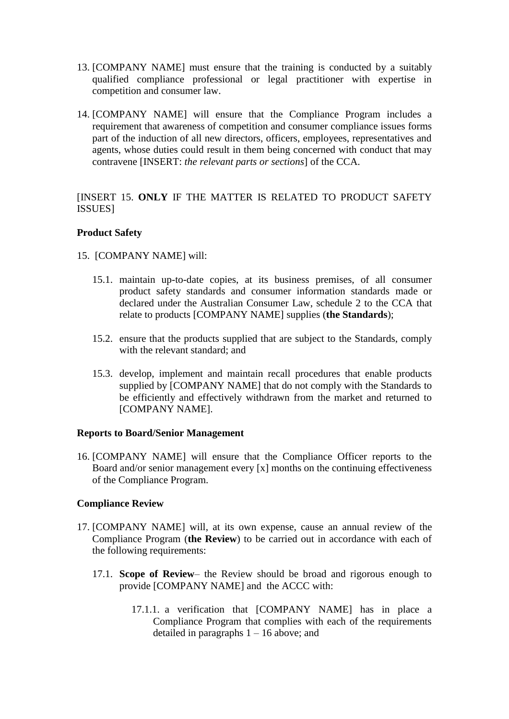- 13. [COMPANY NAME] must ensure that the training is conducted by a suitably qualified compliance professional or legal practitioner with expertise in competition and consumer law.
- 14. [COMPANY NAME] will ensure that the Compliance Program includes a requirement that awareness of competition and consumer compliance issues forms part of the induction of all new directors, officers, employees, representatives and agents, whose duties could result in them being concerned with conduct that may contravene [INSERT: *the relevant parts or sections*] of the CCA.

[INSERT 15. **ONLY** IF THE MATTER IS RELATED TO PRODUCT SAFETY ISSUES]

# **Product Safety**

- 15. [COMPANY NAME] will:
	- 15.1. maintain up-to-date copies, at its business premises, of all consumer product safety standards and consumer information standards made or declared under the Australian Consumer Law, schedule 2 to the CCA that relate to products [COMPANY NAME] supplies (**the Standards**);
	- 15.2. ensure that the products supplied that are subject to the Standards, comply with the relevant standard; and
	- 15.3. develop, implement and maintain recall procedures that enable products supplied by [COMPANY NAME] that do not comply with the Standards to be efficiently and effectively withdrawn from the market and returned to [COMPANY NAME].

# **Reports to Board/Senior Management**

16. [COMPANY NAME] will ensure that the Compliance Officer reports to the Board and/or senior management every [x] months on the continuing effectiveness of the Compliance Program.

# **Compliance Review**

- 17. [COMPANY NAME] will, at its own expense, cause an annual review of the Compliance Program (**the Review**) to be carried out in accordance with each of the following requirements:
	- 17.1. **Scope of Review** the Review should be broad and rigorous enough to provide [COMPANY NAME] and the ACCC with:
		- 17.1.1. a verification that [COMPANY NAME] has in place a Compliance Program that complies with each of the requirements detailed in paragraphs  $1 - 16$  above; and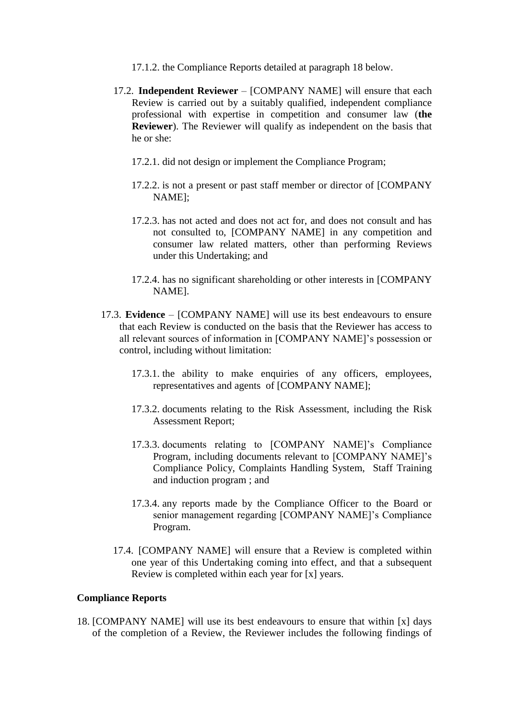- 17.1.2. the Compliance Reports detailed at paragraph 18 below.
- 17.2. **Independent Reviewer** [COMPANY NAME] will ensure that each Review is carried out by a suitably qualified, independent compliance professional with expertise in competition and consumer law (**the Reviewer**). The Reviewer will qualify as independent on the basis that he or she:
	- 17.2.1. did not design or implement the Compliance Program;
	- 17.2.2. is not a present or past staff member or director of [COMPANY NAME];
	- 17.2.3. has not acted and does not act for, and does not consult and has not consulted to, [COMPANY NAME] in any competition and consumer law related matters, other than performing Reviews under this Undertaking; and
	- 17.2.4. has no significant shareholding or other interests in [COMPANY NAME].
- 17.3. **Evidence** [COMPANY NAME] will use its best endeavours to ensure that each Review is conducted on the basis that the Reviewer has access to all relevant sources of information in [COMPANY NAME]'s possession or control, including without limitation:
	- 17.3.1. the ability to make enquiries of any officers, employees, representatives and agents of [COMPANY NAME];
	- 17.3.2. documents relating to the Risk Assessment, including the Risk Assessment Report;
	- 17.3.3. documents relating to [COMPANY NAME]'s Compliance Program, including documents relevant to [COMPANY NAME]'s Compliance Policy, Complaints Handling System, Staff Training and induction program ; and
	- 17.3.4. any reports made by the Compliance Officer to the Board or senior management regarding [COMPANY NAME]'s Compliance Program.
	- 17.4. [COMPANY NAME] will ensure that a Review is completed within one year of this Undertaking coming into effect, and that a subsequent Review is completed within each year for [x] years.

### **Compliance Reports**

18. [COMPANY NAME] will use its best endeavours to ensure that within [x] days of the completion of a Review, the Reviewer includes the following findings of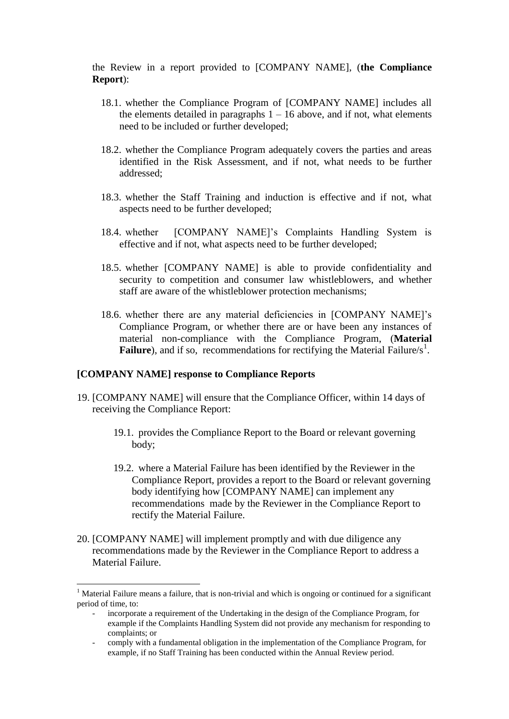the Review in a report provided to [COMPANY NAME], (**the Compliance Report**):

- 18.1. whether the Compliance Program of [COMPANY NAME] includes all the elements detailed in paragraphs  $1 - 16$  above, and if not, what elements need to be included or further developed;
- 18.2. whether the Compliance Program adequately covers the parties and areas identified in the Risk Assessment, and if not, what needs to be further addressed;
- 18.3. whether the Staff Training and induction is effective and if not, what aspects need to be further developed;
- 18.4. whether [COMPANY NAME]'s Complaints Handling System is effective and if not, what aspects need to be further developed;
- 18.5. whether [COMPANY NAME] is able to provide confidentiality and security to competition and consumer law whistleblowers, and whether staff are aware of the whistleblower protection mechanisms;
- 18.6. whether there are any material deficiencies in [COMPANY NAME]'s Compliance Program, or whether there are or have been any instances of material non-compliance with the Compliance Program, (**Material Failure**), and if so, recommendations for rectifying the Material Failure/s<sup>1</sup>.

### **[COMPANY NAME] response to Compliance Reports**

1

- 19. [COMPANY NAME] will ensure that the Compliance Officer, within 14 days of receiving the Compliance Report:
	- 19.1. provides the Compliance Report to the Board or relevant governing body;
	- 19.2. where a Material Failure has been identified by the Reviewer in the Compliance Report, provides a report to the Board or relevant governing body identifying how [COMPANY NAME] can implement any recommendations made by the Reviewer in the Compliance Report to rectify the Material Failure.
- 20. [COMPANY NAME] will implement promptly and with due diligence any recommendations made by the Reviewer in the Compliance Report to address a Material Failure.

<sup>&</sup>lt;sup>1</sup> Material Failure means a failure, that is non-trivial and which is ongoing or continued for a significant period of time, to:

<sup>-</sup> incorporate a requirement of the Undertaking in the design of the Compliance Program, for example if the Complaints Handling System did not provide any mechanism for responding to complaints; or

<sup>-</sup> comply with a fundamental obligation in the implementation of the Compliance Program, for example, if no Staff Training has been conducted within the Annual Review period.